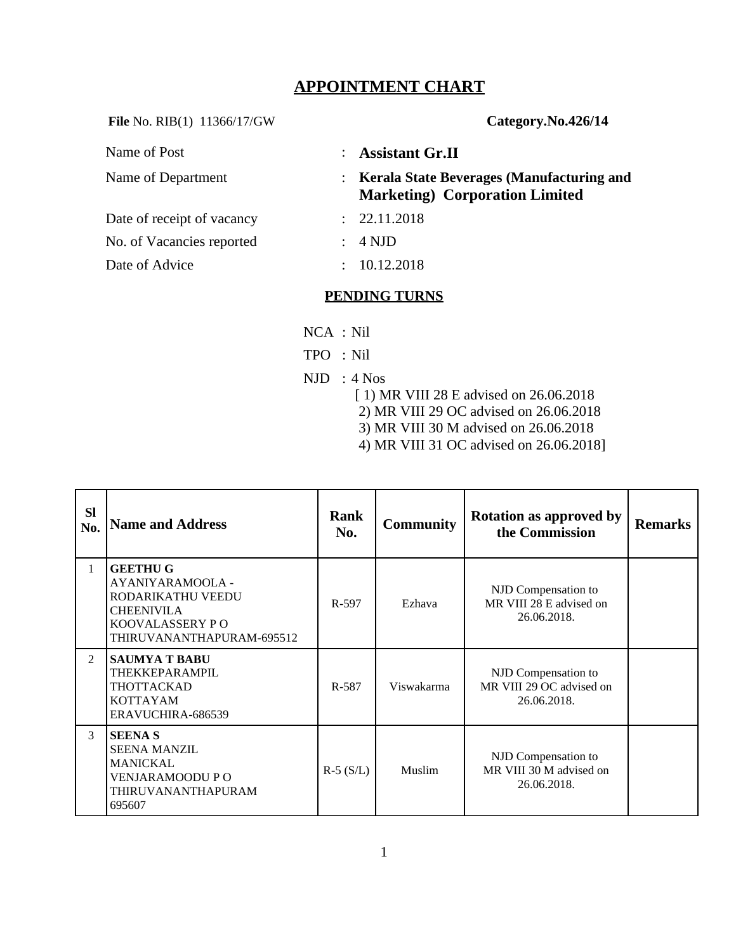# **APPOINTMENT CHART**

**File** No. RIB(1) 11366/17/GW **Category** 

| Category.No.426/14 |
|--------------------|
|--------------------|

| Name of Post               |               | : Assistant Gr.II                                                                     |
|----------------------------|---------------|---------------------------------------------------------------------------------------|
| Name of Department         |               | : Kerala State Beverages (Manufacturing and<br><b>Marketing</b> ) Corporation Limited |
| Date of receipt of vacancy |               | : 22.11.2018                                                                          |
| No. of Vacancies reported  |               | 4 NJD                                                                                 |
| Date of Advice             | $\mathcal{L}$ | 10.12.2018                                                                            |

#### **PENDING TURNS**

- NCA : Nil
- TPO : Nil
- NJD : 4 Nos
	- [ 1) MR VIII 28 E advised on 26.06.2018
	- 2) MR VIII 29 OC advised on 26.06.2018
	- 3) MR VIII 30 M advised on 26.06.2018
	- 4) MR VIII 31 OC advised on 26.06.2018]

| <b>SI</b><br>No. | <b>Name and Address</b>                                                                                                        | <b>Rank</b><br>No. | <b>Community</b> | <b>Rotation as approved by</b><br>the Commission               | <b>Remarks</b> |
|------------------|--------------------------------------------------------------------------------------------------------------------------------|--------------------|------------------|----------------------------------------------------------------|----------------|
| $\mathbf{1}$     | <b>GEETHU G</b><br>AYANIYARAMOOLA -<br>RODARIKATHU VEEDU<br><b>CHEENIVILA</b><br>KOOVALASSERY P O<br>THIRUVANANTHAPURAM-695512 | R-597              | Ezhava           | NJD Compensation to<br>MR VIII 28 E advised on<br>26.06.2018.  |                |
| $\overline{2}$   | SAUMYA T BABU<br>THEKKEPARAMPIL<br>THOTTACKAD<br><b>KOTTAYAM</b><br>ERAVUCHIRA-686539                                          | R-587              | Viswakarma       | NJD Compensation to<br>MR VIII 29 OC advised on<br>26.06.2018. |                |
| 3                | <b>SEENA S</b><br><b>SEENA MANZIL</b><br><b>MANICKAL</b><br>VENJARAMOODU PO<br>THIRUVANANTHAPURAM<br>695607                    | $R-5(S/L)$         | Muslim           | NJD Compensation to<br>MR VIII 30 M advised on<br>26.06.2018.  |                |